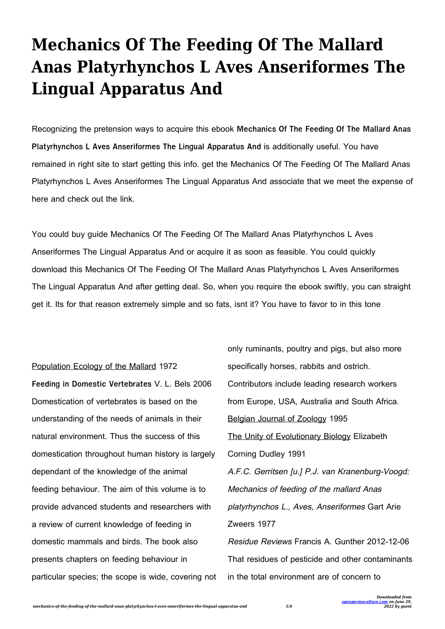## **Mechanics Of The Feeding Of The Mallard Anas Platyrhynchos L Aves Anseriformes The Lingual Apparatus And**

Recognizing the pretension ways to acquire this ebook **Mechanics Of The Feeding Of The Mallard Anas Platyrhynchos L Aves Anseriformes The Lingual Apparatus And** is additionally useful. You have remained in right site to start getting this info. get the Mechanics Of The Feeding Of The Mallard Anas Platyrhynchos L Aves Anseriformes The Lingual Apparatus And associate that we meet the expense of here and check out the link.

You could buy guide Mechanics Of The Feeding Of The Mallard Anas Platyrhynchos L Aves Anseriformes The Lingual Apparatus And or acquire it as soon as feasible. You could quickly download this Mechanics Of The Feeding Of The Mallard Anas Platyrhynchos L Aves Anseriformes The Lingual Apparatus And after getting deal. So, when you require the ebook swiftly, you can straight get it. Its for that reason extremely simple and so fats, isnt it? You have to favor to in this tone

Population Ecology of the Mallard 1972 **Feeding in Domestic Vertebrates** V. L. Bels 2006 Domestication of vertebrates is based on the understanding of the needs of animals in their natural environment. Thus the success of this domestication throughout human history is largely dependant of the knowledge of the animal feeding behaviour. The aim of this volume is to provide advanced students and researchers with a review of current knowledge of feeding in domestic mammals and birds. The book also presents chapters on feeding behaviour in particular species; the scope is wide, covering not only ruminants, poultry and pigs, but also more specifically horses, rabbits and ostrich. Contributors include leading research workers from Europe, USA, Australia and South Africa. Belgian Journal of Zoology 1995 The Unity of Evolutionary Biology Elizabeth Corning Dudley 1991 A.F.C. Gerritsen [u.] P.J. van Kranenburg-Voogd: Mechanics of feeding of the mallard Anas platyrhynchos L., Aves, Anseriformes Gart Arie Zweers 1977 Residue Reviews Francis A. Gunther 2012-12-06 That residues of pesticide and other contaminants in the total environment are of concern to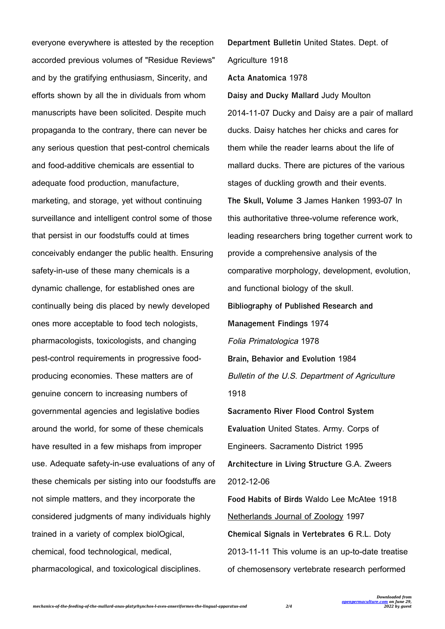everyone everywhere is attested by the reception accorded previous volumes of "Residue Reviews" and by the gratifying enthusiasm, Sincerity, and efforts shown by all the in dividuals from whom manuscripts have been solicited. Despite much propaganda to the contrary, there can never be any serious question that pest-control chemicals and food-additive chemicals are essential to adequate food production, manufacture, marketing, and storage, yet without continuing surveillance and intelligent control some of those that persist in our foodstuffs could at times conceivably endanger the public health. Ensuring safety-in-use of these many chemicals is a dynamic challenge, for established ones are continually being dis placed by newly developed ones more acceptable to food tech nologists, pharmacologists, toxicologists, and changing pest-control requirements in progressive foodproducing economies. These matters are of genuine concern to increasing numbers of governmental agencies and legislative bodies around the world, for some of these chemicals have resulted in a few mishaps from improper use. Adequate safety-in-use evaluations of any of these chemicals per sisting into our foodstuffs are not simple matters, and they incorporate the considered judgments of many individuals highly trained in a variety of complex biolOgical, chemical, food technological, medical, pharmacological, and toxicological disciplines.

**Department Bulletin** United States. Dept. of Agriculture 1918 **Acta Anatomica** 1978 **Daisy and Ducky Mallard** Judy Moulton 2014-11-07 Ducky and Daisy are a pair of mallard ducks. Daisy hatches her chicks and cares for them while the reader learns about the life of mallard ducks. There are pictures of the various stages of duckling growth and their events. **The Skull, Volume 3** James Hanken 1993-07 In this authoritative three-volume reference work, leading researchers bring together current work to provide a comprehensive analysis of the comparative morphology, development, evolution, and functional biology of the skull. **Bibliography of Published Research and Management Findings** 1974 Folia Primatologica 1978 **Brain, Behavior and Evolution** 1984 Bulletin of the U.S. Department of Agriculture 1918 **Sacramento River Flood Control System Evaluation** United States. Army. Corps of Engineers. Sacramento District 1995 **Architecture in Living Structure** G.A. Zweers 2012-12-06 **Food Habits of Birds** Waldo Lee McAtee 1918 Netherlands Journal of Zoology 1997 **Chemical Signals in Vertebrates 6** R.L. Doty 2013-11-11 This volume is an up-to-date treatise

of chemosensory vertebrate research performed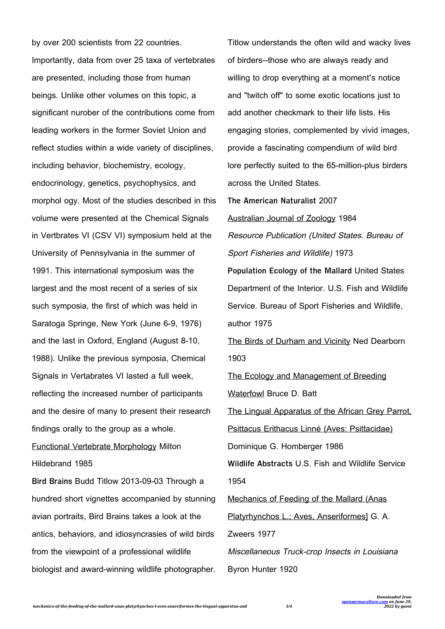by over 200 scientists from 22 countries. Importantly, data from over 25 taxa of vertebrates are presented, including those from human beings. Unlike other volumes on this topic, a significant nurober of the contributions come from leading workers in the former Soviet Union and reflect studies within a wide variety of disciplines, including behavior, biochemistry, ecology, endocrinology, genetics, psychophysics, and morphol ogy. Most of the studies described in this volume were presented at the Chemical Signals in Vertbrates VI (CSV VI) symposium held at the University of Pennsylvania in the summer of 1991. This international symposium was the largest and the most recent of a series of six such symposia, the first of which was held in Saratoga Springe, New York (June 6-9, 1976) and the last in Oxford, England (August 8-10, 1988). Unlike the previous symposia, Chemical Signals in Vertabrates VI lasted a full week, reflecting the increased number of participants and the desire of many to present their research findings orally to the group as a whole. Functional Vertebrate Morphology Milton Hildebrand 1985 **Bird Brains** Budd Titlow 2013-09-03 Through a

hundred short vignettes accompanied by stunning avian portraits, Bird Brains takes a look at the antics, behaviors, and idiosyncrasies of wild birds from the viewpoint of a professional wildlife biologist and award-winning wildlife photographer.

Titlow understands the often wild and wacky lives of birders--those who are always ready and willing to drop everything at a moment's notice and "twitch off" to some exotic locations just to add another checkmark to their life lists. His engaging stories, complemented by vivid images, provide a fascinating compendium of wild bird lore perfectly suited to the 65-million-plus birders across the United States.

**The American Naturalist** 2007 Australian Journal of Zoology 1984 Resource Publication (United States. Bureau of Sport Fisheries and Wildlife) 1973 **Population Ecology of the Mallard** United States Department of the Interior. U.S. Fish and Wildlife Service. Bureau of Sport Fisheries and Wildlife, author 1975 The Birds of Durham and Vicinity Ned Dearborn 1903 The Ecology and Management of Breeding Waterfowl Bruce D. Batt The Lingual Apparatus of the African Grey Parrot, Psittacus Erithacus Linné (Aves: Psittacidae) Dominique G. Homberger 1986 **Wildlife Abstracts** U.S. Fish and Wildlife Service 1954 Mechanics of Feeding of the Mallard (Anas Platyrhynchos L.; Aves, Anseriformes] G. A. Zweers 1977 Miscellaneous Truck-crop Insects in Louisiana Byron Hunter 1920